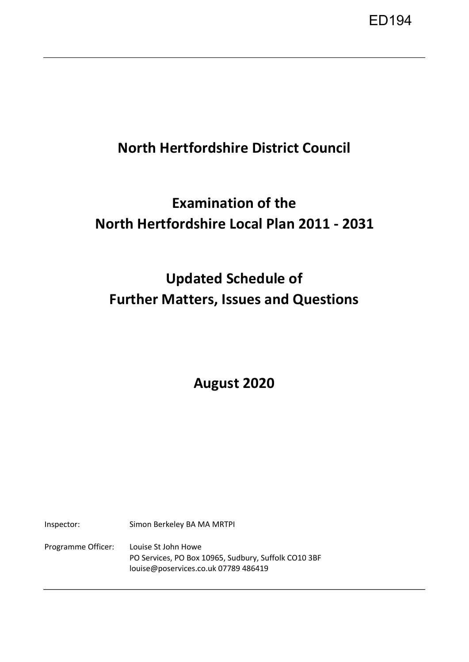ED194

## **North Hertfordshire District Council**

## **Examination of the North Hertfordshire Local Plan 2011 - 2031**

# **Updated Schedule of Further Matters, Issues and Questions**

**August 2020** 

Inspector: Simon Berkeley BA MA MRTPI Programme Officer: Louise St John Howe PO Services, PO Box 10965, Sudbury, Suffolk CO10 3BF louise@poservices.co.uk 07789 486419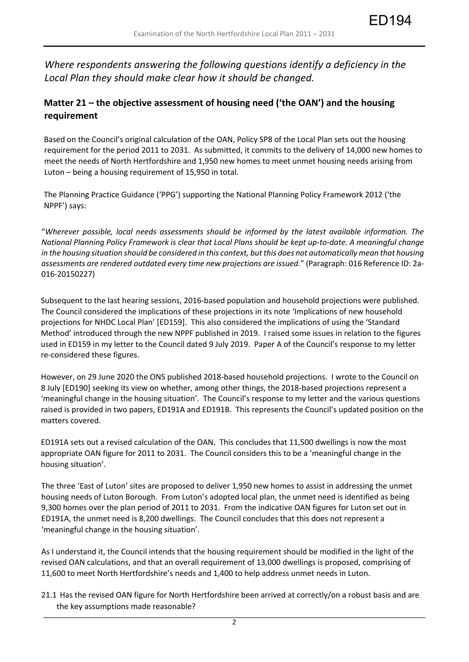ED194

*Where respondents answering the following questions identify a deficiency in the Local Plan they should make clear how it should be changed.* 

### **Matter 21 – the objective assessment of housing need ('the OAN') and the housing requirement**

Based on the Council's original calculation of the OAN, Policy SP8 of the Local Plan sets out the housing requirement for the period 2011 to 2031. As submitted, it commits to the delivery of 14,000 new homes to meet the needs of North Hertfordshire and 1,950 new homes to meet unmet housing needs arising from Luton – being a housing requirement of 15,950 in total.

The Planning Practice Guidance ('PPG') supporting the National Planning Policy Framework 2012 ('the NPPF') says:

"*Wherever possible, local needs assessments should be informed by the latest available information. The National Planning Policy Framework is clear that Local Plans should be kept up-to-date. A meaningful change in the housing situation should be considered in this context, but this does not automatically mean that housing assessments are rendered outdated every time new projections are issued.*" (Paragraph: 016 Reference ID: 2a-016-20150227)

Subsequent to the last hearing sessions, 2016-based population and household projections were published. The Council considered the implications of these projections in its note 'Implications of new household projections for NHDC Local Plan' [ED159]. This also considered the implications of using the 'Standard Method' introduced through the new NPPF published in 2019. I raised some issues in relation to the figures used in ED159 in my letter to the Council dated 9 July 2019. Paper A of the Council's response to my letter re-considered these figures.

However, on 29 June 2020 the ONS published 2018-based household projections. I wrote to the Council on 8 July [ED190] seeking its view on whether, among other things, the 2018-based projections represent a 'meaningful change in the housing situation'. The Council's response to my letter and the various questions raised is provided in two papers, ED191A and ED191B. This represents the Council's updated position on the matters covered.

ED191A sets out a revised calculation of the OAN. This concludes that 11,500 dwellings is now the most appropriate OAN figure for 2011 to 2031. The Council considers this to be a 'meaningful change in the housing situation'.

The three 'East of Luton' sites are proposed to deliver 1,950 new homes to assist in addressing the unmet housing needs of Luton Borough. From Luton's adopted local plan, the unmet need is identified as being 9,300 homes over the plan period of 2011 to 2031. From the indicative OAN figures for Luton set out in ED191A, the unmet need is 8,200 dwellings. The Council concludes that this does not represent a 'meaningful change in the housing situation'.

As I understand it, the Council intends that the housing requirement should be modified in the light of the revised OAN calculations, and that an overall requirement of 13,000 dwellings is proposed, comprising of 11,600 to meet North Hertfordshire's needs and 1,400 to help address unmet needs in Luton.

21.1 Has the revised OAN figure for North Hertfordshire been arrived at correctly/on a robust basis and are the key assumptions made reasonable?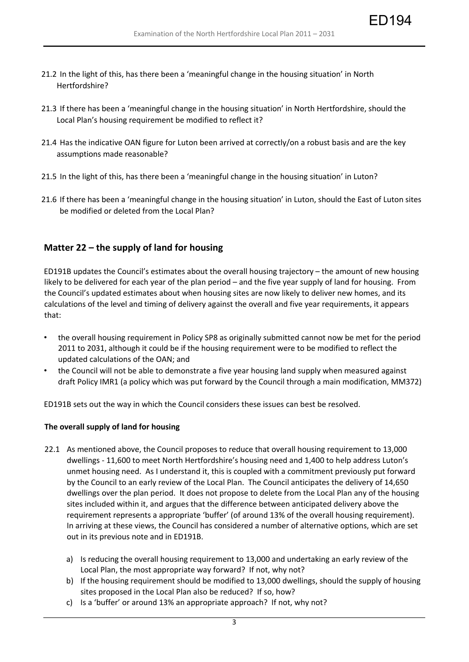ED194

- 21.2 In the light of this, has there been a 'meaningful change in the housing situation' in North Hertfordshire?
- 21.3 If there has been a 'meaningful change in the housing situation' in North Hertfordshire, should the Local Plan's housing requirement be modified to reflect it?
- 21.4 Has the indicative OAN figure for Luton been arrived at correctly/on a robust basis and are the key assumptions made reasonable?
- 21.5 In the light of this, has there been a 'meaningful change in the housing situation' in Luton?
- 21.6 If there has been a 'meaningful change in the housing situation' in Luton, should the East of Luton sites be modified or deleted from the Local Plan?

#### **Matter 22 – the supply of land for housing**

ED191B updates the Council's estimates about the overall housing trajectory – the amount of new housing likely to be delivered for each year of the plan period – and the five year supply of land for housing. From the Council's updated estimates about when housing sites are now likely to deliver new homes, and its calculations of the level and timing of delivery against the overall and five year requirements, it appears that:

- the overall housing requirement in Policy SP8 as originally submitted cannot now be met for the period 2011 to 2031, although it could be if the housing requirement were to be modified to reflect the updated calculations of the OAN; and
- the Council will not be able to demonstrate a five year housing land supply when measured against draft Policy IMR1 (a policy which was put forward by the Council through a main modification, MM372)

ED191B sets out the way in which the Council considers these issues can best be resolved.

#### **The overall supply of land for housing**

- 22.1 As mentioned above, the Council proposes to reduce that overall housing requirement to 13,000 dwellings - 11,600 to meet North Hertfordshire's housing need and 1,400 to help address Luton's unmet housing need. As I understand it, this is coupled with a commitment previously put forward by the Council to an early review of the Local Plan. The Council anticipates the delivery of 14,650 dwellings over the plan period. It does not propose to delete from the Local Plan any of the housing sites included within it, and argues that the difference between anticipated delivery above the requirement represents a appropriate 'buffer' (of around 13% of the overall housing requirement). In arriving at these views, the Council has considered a number of alternative options, which are set out in its previous note and in ED191B.
	- a) Is reducing the overall housing requirement to 13,000 and undertaking an early review of the Local Plan, the most appropriate way forward? If not, why not?
	- b) If the housing requirement should be modified to 13,000 dwellings, should the supply of housing sites proposed in the Local Plan also be reduced? If so, how?
	- c) Is a 'buffer' or around 13% an appropriate approach? If not, why not?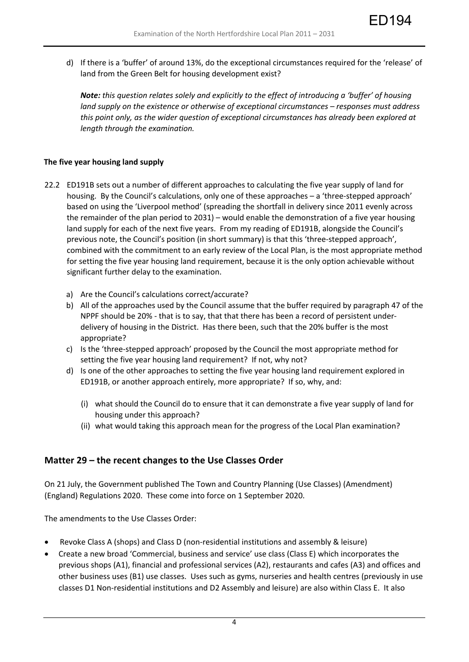d) If there is a 'buffer' of around 13%, do the exceptional circumstances required for the 'release' of land from the Green Belt for housing development exist?

ED194

*Note: this question relates solely and explicitly to the effect of introducing a 'buffer' of housing land supply on the existence or otherwise of exceptional circumstances – responses must address this point only, as the wider question of exceptional circumstances has already been explored at length through the examination.*

#### **The five year housing land supply**

- 22.2 ED191B sets out a number of different approaches to calculating the five year supply of land for housing. By the Council's calculations, only one of these approaches – a 'three-stepped approach' based on using the 'Liverpool method' (spreading the shortfall in delivery since 2011 evenly across the remainder of the plan period to 2031) – would enable the demonstration of a five year housing land supply for each of the next five years. From my reading of ED191B, alongside the Council's previous note, the Council's position (in short summary) is that this 'three-stepped approach', combined with the commitment to an early review of the Local Plan, is the most appropriate method for setting the five year housing land requirement, because it is the only option achievable without significant further delay to the examination.
	- a) Are the Council's calculations correct/accurate?
	- b) All of the approaches used by the Council assume that the buffer required by paragraph 47 of the NPPF should be 20% - that is to say, that that there has been a record of persistent underdelivery of housing in the District. Has there been, such that the 20% buffer is the most appropriate?
	- c) Is the 'three-stepped approach' proposed by the Council the most appropriate method for setting the five year housing land requirement? If not, why not?
	- d) Is one of the other approaches to setting the five year housing land requirement explored in ED191B, or another approach entirely, more appropriate? If so, why, and:
		- (i) what should the Council do to ensure that it can demonstrate a five year supply of land for housing under this approach?
		- (ii) what would taking this approach mean for the progress of the Local Plan examination?

### **Matter 29 – the recent changes to the Use Classes Order**

On 21 July, the Government published The Town and Country Planning (Use Classes) (Amendment) (England) Regulations 2020. These come into force on 1 September 2020.

The amendments to the Use Classes Order:

- Revoke Class A (shops) and Class D (non-residential institutions and assembly & leisure)
- Create a new broad 'Commercial, business and service' use class (Class E) which incorporates the previous shops (A1), financial and professional services (A2), restaurants and cafes (A3) and offices and other business uses (B1) use classes. Uses such as gyms, nurseries and health centres (previously in use classes D1 Non-residential institutions and D2 Assembly and leisure) are also within Class E. It also